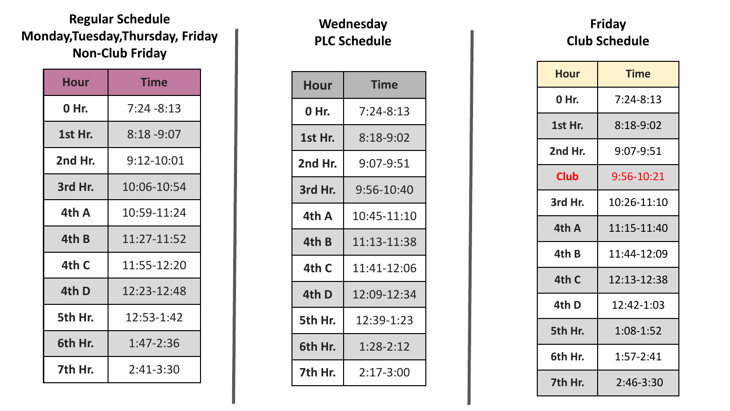#### **Regular Schedule Monday,Tuesday,Thursday, Friday Non-Club Friday**

| Hour    | <b>Time</b>   |
|---------|---------------|
| 0 Hr.   | $7:24 - 8:13$ |
| 1st Hr. | $8:18 - 9:07$ |
| 2nd Hr. | 9:12-10:01    |
| 3rd Hr. | 10:06-10:54   |
| 4th A   | 10:59-11:24   |
| 4th B   | 11:27-11:52   |
| 4th C   | 11:55-12:20   |
| 4th D   | 12:23-12:48   |
| 5th Hr. | 12:53-1:42    |
| 6th Hr. | 1:47-2:36     |
| 7th Hr. | $2:41-3:30$   |

#### **Wednesday PLC Schedule**

| <b>Hour</b> | <b>Time</b>   |
|-------------|---------------|
| 0 Hr.       | $7:24-8:13$   |
| 1st Hr.     | $8:18-9:02$   |
| 2nd Hr.     | 9:07-9:51     |
| 3rd Hr.     | 9:56-10:40    |
| 4th A       | 10:45-11:10   |
| 4th B       | 11:13-11:38   |
| 4th C       | 11:41-12:06   |
| 4th D       | 12:09-12:34   |
| 5th Hr.     | 12:39-1:23    |
| 6th Hr.     | $1:28-2:12$   |
| 7th Hr.     | $2:17 - 3:00$ |

### **Friday Club Schedule**

| Hour        | <b>Time</b>     |
|-------------|-----------------|
| 0 Hr.       | $7:24-8:13$     |
| 1st Hr.     | $8:18-9:02$     |
| 2nd Hr.     | $9:07 - 9:51$   |
| <b>Club</b> | 9:56-10:21      |
| 3rd Hr.     | $10:26 - 11:10$ |
| 4th A       | 11:15-11:40     |
| 4th B       | 11:44-12:09     |
| 4th C       | 12:13-12:38     |
| 4th D       | 12:42-1:03      |
| 5th Hr.     | 1:08-1:52       |
| 6th Hr.     | 1:57-2:41       |
| 7th Hr.     | $2:46 - 3:30$   |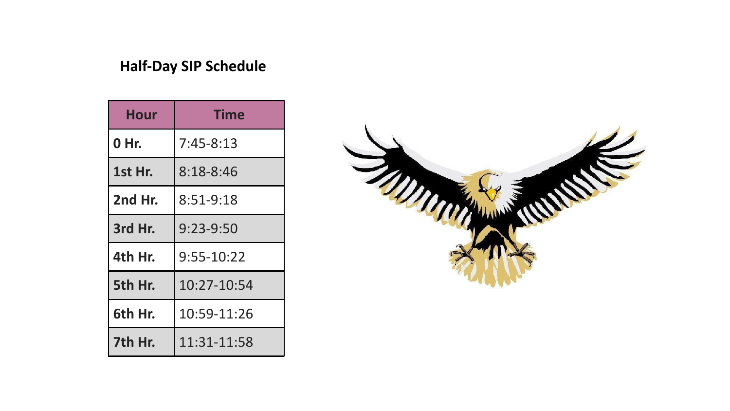# **Half-Day SIP Schedule**

| <b>Hour</b> | <b>Time</b>   |
|-------------|---------------|
| 0 Hr.       | $7:45 - 8:13$ |
| 1st Hr.     | $8:18 - 8:46$ |
| 2nd Hr.     | 8:51-9:18     |
| 3rd Hr.     | $9:23-9:50$   |
| 4th Hr.     | 9:55-10:22    |
| 5th Hr.     | 10:27-10:54   |
| 6th Hr.     | 10:59-11:26   |
| 7th Hr.     | 11:31-11:58   |